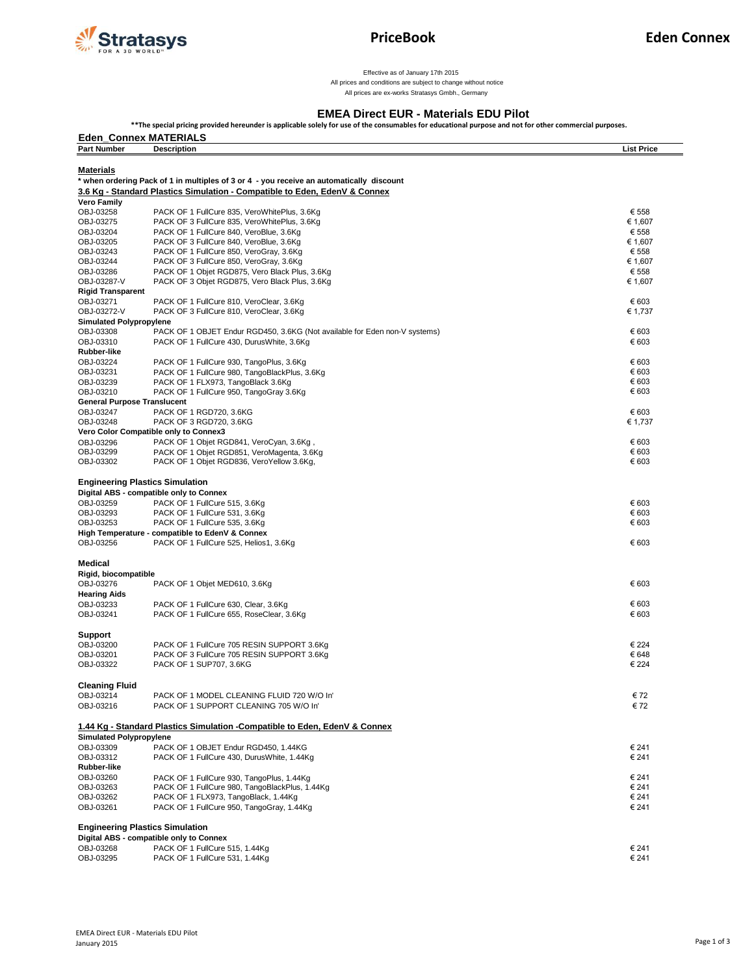

Effective as of January 17th 2015

 All prices and conditions are subject to change without notice All prices are ex-works Stratasys Gmbh., Germany

## **EMEA Direct EUR - Materials EDU Pilot**

**\*\*The special pricing provided hereunder is applicable solely for use of the consumables for educational purpose and not for other commercial purposes.** 

| <b>Eden_Connex MATERIALS</b>       |                                                                                           |                   |  |  |
|------------------------------------|-------------------------------------------------------------------------------------------|-------------------|--|--|
| <b>Part Number</b>                 | <b>Description</b>                                                                        | <b>List Price</b> |  |  |
| <b>Materials</b>                   |                                                                                           |                   |  |  |
|                                    | * when ordering Pack of 1 in multiples of 3 or 4 - you receive an automatically discount  |                   |  |  |
|                                    | 3.6 Kg - Standard Plastics Simulation - Compatible to Eden, EdenV & Connex                |                   |  |  |
| Vero Family                        |                                                                                           |                   |  |  |
| OBJ-03258                          | PACK OF 1 FullCure 835, VeroWhitePlus, 3.6Kg                                              | € 558             |  |  |
| OBJ-03275                          | PACK OF 3 FullCure 835, VeroWhitePlus, 3.6Kg                                              | € 1,607           |  |  |
| OBJ-03204                          | PACK OF 1 FullCure 840, VeroBlue, 3.6Kg                                                   | € 558             |  |  |
| OBJ-03205                          | PACK OF 3 FullCure 840, VeroBlue, 3.6Kg                                                   | € 1,607           |  |  |
| OBJ-03243<br>OBJ-03244             | PACK OF 1 FullCure 850, VeroGray, 3.6Kg<br>PACK OF 3 FullCure 850, VeroGray, 3.6Kg        | € 558<br>€ 1,607  |  |  |
| OBJ-03286                          | PACK OF 1 Objet RGD875, Vero Black Plus, 3.6Kg                                            | € 558             |  |  |
| OBJ-03287-V                        | PACK OF 3 Objet RGD875, Vero Black Plus, 3.6Kg                                            | € 1,607           |  |  |
| <b>Rigid Transparent</b>           |                                                                                           |                   |  |  |
| OBJ-03271                          | PACK OF 1 FullCure 810, VeroClear, 3.6Kg                                                  | € 603             |  |  |
| OBJ-03272-V                        | PACK OF 3 FullCure 810, VeroClear, 3.6Kg                                                  | € 1,737           |  |  |
| <b>Simulated Polypropylene</b>     |                                                                                           |                   |  |  |
| OBJ-03308                          | PACK OF 1 OBJET Endur RGD450, 3.6KG (Not available for Eden non-V systems)                | € 603             |  |  |
| OBJ-03310                          | PACK OF 1 FullCure 430, DurusWhite, 3.6Kg                                                 | € 603             |  |  |
| Rubber-like                        |                                                                                           | € 603             |  |  |
| OBJ-03224<br>OBJ-03231             | PACK OF 1 FullCure 930, TangoPlus, 3.6Kg<br>PACK OF 1 FullCure 980, TangoBlackPlus, 3.6Kg | € 603             |  |  |
| OBJ-03239                          | PACK OF 1 FLX973, TangoBlack 3.6Kg                                                        | € 603             |  |  |
| OBJ-03210                          | PACK OF 1 FullCure 950, TangoGray 3.6Kg                                                   | € 603             |  |  |
| <b>General Purpose Translucent</b> |                                                                                           |                   |  |  |
| OBJ-03247                          | PACK OF 1 RGD720, 3.6KG                                                                   | € 603             |  |  |
| OBJ-03248                          | PACK OF 3 RGD720, 3.6KG                                                                   | € 1,737           |  |  |
|                                    | Vero Color Compatible only to Connex3                                                     |                   |  |  |
| OBJ-03296                          | PACK OF 1 Objet RGD841, VeroCyan, 3.6Kg,                                                  | € 603             |  |  |
| OBJ-03299                          | PACK OF 1 Objet RGD851, VeroMagenta, 3.6Kg                                                | € 603             |  |  |
| OBJ-03302                          | PACK OF 1 Objet RGD836, VeroYellow 3.6Kg,                                                 | € 603             |  |  |
|                                    |                                                                                           |                   |  |  |
|                                    | <b>Engineering Plastics Simulation</b><br>Digital ABS - compatible only to Connex         |                   |  |  |
| OBJ-03259                          | PACK OF 1 FullCure 515, 3.6Kg                                                             | € 603             |  |  |
| OBJ-03293                          | PACK OF 1 FullCure 531, 3.6Kg                                                             | € 603             |  |  |
| OBJ-03253                          | PACK OF 1 FullCure 535, 3.6Kg                                                             | € 603             |  |  |
|                                    | High Temperature - compatible to EdenV & Connex                                           |                   |  |  |
| OBJ-03256                          | PACK OF 1 FullCure 525, Helios1, 3.6Kg                                                    | € 603             |  |  |
|                                    |                                                                                           |                   |  |  |
| Medical                            |                                                                                           |                   |  |  |
| Rigid, biocompatible               |                                                                                           |                   |  |  |
| OBJ-03276                          | PACK OF 1 Objet MED610, 3.6Kg                                                             | € 603             |  |  |
| <b>Hearing Aids</b>                |                                                                                           |                   |  |  |
| OBJ-03233                          | PACK OF 1 FullCure 630, Clear, 3.6Kg                                                      | € 603             |  |  |
| OBJ-03241                          | PACK OF 1 FullCure 655, RoseClear, 3.6Kg                                                  | € 603             |  |  |
| <b>Support</b>                     |                                                                                           |                   |  |  |
| OBJ-03200                          | PACK OF 1 FullCure 705 RESIN SUPPORT 3.6Kg                                                | € 224             |  |  |
| OBJ-03201                          | PACK OF 3 FullCure 705 RESIN SUPPORT 3.6Kg                                                | € 648             |  |  |
| OBJ-03322                          | PACK OF 1 SUP707, 3.6KG                                                                   | € 224             |  |  |
|                                    |                                                                                           |                   |  |  |
| <b>Cleaning Fluid</b>              |                                                                                           |                   |  |  |
| OBJ-03214                          | PACK OF 1 MODEL CLEANING FLUID 720 W/O In'                                                | € 72              |  |  |
| OBJ-03216                          | PACK OF 1 SUPPORT CLEANING 705 W/O In'                                                    | € 72              |  |  |
|                                    |                                                                                           |                   |  |  |
|                                    | 1.44 Kg - Standard Plastics Simulation -Compatible to Eden, EdenV & Connex                |                   |  |  |
| <b>Simulated Polypropylene</b>     |                                                                                           |                   |  |  |
| OBJ-03309                          | PACK OF 1 OBJET Endur RGD450, 1.44KG                                                      | € 241             |  |  |
| OBJ-03312<br>Rubber-like           | PACK OF 1 FullCure 430, DurusWhite, 1.44Kg                                                | € 241             |  |  |
| OBJ-03260                          | PACK OF 1 FullCure 930, TangoPlus, 1.44Kg                                                 | € 241             |  |  |
| OBJ-03263                          | PACK OF 1 FullCure 980, TangoBlackPlus, 1.44Kg                                            | € 241             |  |  |
| OBJ-03262                          | PACK OF 1 FLX973, TangoBlack, 1.44Kg                                                      | € 241             |  |  |
| OBJ-03261                          | PACK OF 1 FullCure 950, TangoGray, 1.44Kg                                                 | € 241             |  |  |
|                                    |                                                                                           |                   |  |  |
|                                    | <b>Engineering Plastics Simulation</b>                                                    |                   |  |  |
|                                    | Digital ABS - compatible only to Connex                                                   |                   |  |  |
| OBJ-03268                          | PACK OF 1 FullCure 515, 1.44Kg                                                            | € 241             |  |  |
| OBJ-03295                          | PACK OF 1 FullCure 531, 1.44Kg                                                            | € 241             |  |  |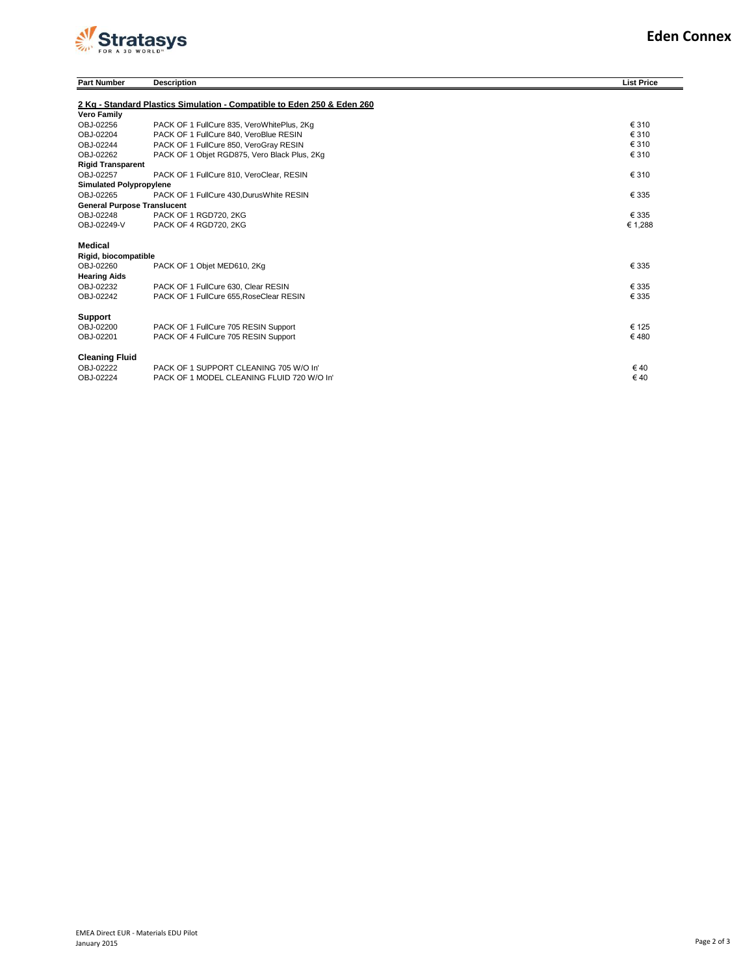

| <b>Part Number</b>                 | <b>Description</b>                                                      | <b>List Price</b> |
|------------------------------------|-------------------------------------------------------------------------|-------------------|
|                                    | 2 Kg - Standard Plastics Simulation - Compatible to Eden 250 & Eden 260 |                   |
| <b>Vero Family</b>                 |                                                                         |                   |
| OBJ-02256                          | PACK OF 1 FullCure 835, VeroWhitePlus, 2Kg                              | € 310             |
| OBJ-02204                          | PACK OF 1 FullCure 840, VeroBlue RESIN                                  | € 310             |
| OBJ-02244                          | PACK OF 1 FullCure 850, VeroGrav RESIN                                  | € 310             |
| OBJ-02262                          | PACK OF 1 Objet RGD875, Vero Black Plus, 2Kg                            | € 310             |
| <b>Rigid Transparent</b>           |                                                                         |                   |
| OBJ-02257                          | PACK OF 1 FullCure 810, VeroClear, RESIN                                | € 310             |
| <b>Simulated Polypropylene</b>     |                                                                         |                   |
| OBJ-02265                          | PACK OF 1 FullCure 430, Durus White RESIN                               | € 335             |
| <b>General Purpose Translucent</b> |                                                                         |                   |
| OBJ-02248                          | PACK OF 1 RGD720, 2KG                                                   | € 335             |
| OBJ-02249-V                        | PACK OF 4 RGD720, 2KG                                                   | € 1.288           |
| Medical                            |                                                                         |                   |
| Rigid, biocompatible               |                                                                         |                   |
| OBJ-02260                          | PACK OF 1 Objet MED610, 2Kg                                             | € 335             |
| <b>Hearing Aids</b>                |                                                                         |                   |
| OBJ-02232                          | PACK OF 1 FullCure 630, Clear RESIN                                     | € 335             |
| OBJ-02242                          | PACK OF 1 FullCure 655, RoseClear RESIN                                 | € 335             |
| Support                            |                                                                         |                   |
| OBJ-02200                          | PACK OF 1 FullCure 705 RESIN Support                                    | € 125             |
| OBJ-02201                          | PACK OF 4 FullCure 705 RESIN Support                                    | €480              |
| <b>Cleaning Fluid</b>              |                                                                         |                   |
| OBJ-02222                          | PACK OF 1 SUPPORT CLEANING 705 W/O In'                                  | €40               |
| OBJ-02224                          | PACK OF 1 MODEL CLEANING FLUID 720 W/O In'                              | €40               |
|                                    |                                                                         |                   |